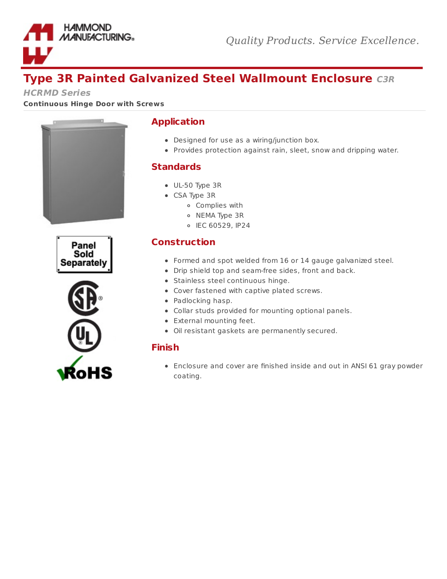

# **Type 3R Painted Galvanized Steel Wallmount Enclosure C3R**

**HCRMD Series**

**Continuous Hinge Door with Screws**







### **Application**

- Designed for use as a wiring/junction box.
- Provides protection against rain, sleet, snow and dripping water.

#### **Standards**

- UL-50 Type 3R
- CSA Type 3R
	- Complies with
	- o NEMA Type 3R
	- IEC 60529, IP24

# **Construction**

- Formed and spot welded from 16 or 14 gauge galvanized steel.
- Drip shield top and seam-free sides, front and back.
- Stainless steel continuous hinge.
- Cover fastened with captive plated screws.
- Padlocking hasp.
- Collar studs provided for mounting optional panels.
- External mounting feet.
- Oil resistant gaskets are permanently secured.

## **Finish**

Enclosure and cover are finished inside and out in ANSI 61 gray powder coating.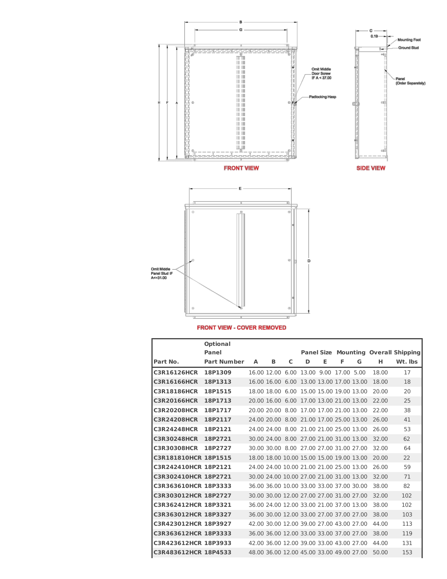

**FRONT VIEW - COVER REMOVED** 

|                      | <b>Optional</b><br>Panel |   |                  |   |                                           |   |   |   |       | <b>Panel Size Mounting Overall Shipping</b> |
|----------------------|--------------------------|---|------------------|---|-------------------------------------------|---|---|---|-------|---------------------------------------------|
| Part No.             | <b>Part Number</b>       | A | В                | C | D                                         | Е | F | G | н     | Wt. Ibs                                     |
| <b>C3R16126HCR</b>   | 18P1309                  |   |                  |   | 16.00 12.00 6.00 13.00 9.00 17.00 5.00    |   |   |   | 18.00 | 17                                          |
| <b>C3R16166HCR</b>   | 18P1313                  |   | 16.00 16.00 6.00 |   | 13.00 13.00 17.00 13.00                   |   |   |   | 18.00 | 18                                          |
| <b>C3R18186HCR</b>   | 18P1515                  |   | 18.00 18.00 6.00 |   | 15.00 15.00 19.00 13.00                   |   |   |   | 20.00 | 20                                          |
| <b>C3R20166HCR</b>   | 18P1713                  |   | 20.00 16.00 6.00 |   | 17.00 13.00 21.00 13.00                   |   |   |   | 22.00 | 25                                          |
| <b>C3R20208HCR</b>   | 18P1717                  |   |                  |   | 20.00 20.00 8.00 17.00 17.00 21.00 13.00  |   |   |   | 22.00 | 38                                          |
| <b>C3R24208HCR</b>   | 18P2117                  |   |                  |   | 24.00 20.00 8.00 21.00 17.00 25.00 13.00  |   |   |   | 26.00 | 41                                          |
| <b>C3R24248HCR</b>   | 18P2121                  |   | 24.00 24.00 8.00 |   | 21.00 21.00 25.00 13.00                   |   |   |   | 26.00 | 53                                          |
| <b>C3R30248HCR</b>   | 18P2721                  |   |                  |   | 30.00 24.00 8.00 27.00 21.00 31.00 13.00  |   |   |   | 32.00 | 62                                          |
| <b>C3R30308HCR</b>   | 18P2727                  |   |                  |   | 30.00 30.00 8.00 27.00 27.00 31.00 27.00  |   |   |   | 32.00 | 64                                          |
| C3R181810HCR 18P1515 |                          |   |                  |   | 18.00 18.00 10.00 15.00 15.00 19.00 13.00 |   |   |   | 20.00 | 22                                          |
| C3R242410HCR 18P2121 |                          |   |                  |   | 24.00 24.00 10.00 21.00 21.00 25.00 13.00 |   |   |   | 26.00 | 59                                          |
| C3R302410HCR 18P2721 |                          |   |                  |   | 30.00 24.00 10.00 27.00 21.00 31.00 13.00 |   |   |   | 32.00 | 71                                          |
| C3R363610HCR 18P3333 |                          |   |                  |   | 36.00 36.00 10.00 33.00 33.00 37.00 30.00 |   |   |   | 38.00 | 82                                          |
| C3R303012HCR 18P2727 |                          |   |                  |   | 30.00 30.00 12.00 27.00 27.00 31.00 27.00 |   |   |   | 32.00 | 102                                         |
| C3R362412HCR 18P3321 |                          |   |                  |   | 36.00 24.00 12.00 33.00 21.00 37.00 13.00 |   |   |   | 38.00 | 102                                         |
| C3R363012HCR 18P3327 |                          |   |                  |   | 36.00 30.00 12.00 33.00 27.00 37.00 27.00 |   |   |   | 38.00 | 103                                         |
| C3R423012HCR 18P3927 |                          |   |                  |   | 42.00 30.00 12.00 39.00 27.00 43.00 27.00 |   |   |   | 44.00 | 113                                         |
| C3R363612HCR 18P3333 |                          |   |                  |   | 36.00 36.00 12.00 33.00 33.00 37.00 27.00 |   |   |   | 38.00 | 119                                         |
| C3R423612HCR 18P3933 |                          |   |                  |   | 42.00 36.00 12.00 39.00 33.00 43.00 27.00 |   |   |   | 44.00 | 131                                         |
| C3R483612HCR 18P4533 |                          |   |                  |   | 48.00 36.00 12.00 45.00 33.00 49.00 27.00 |   |   |   | 50.00 | 153                                         |